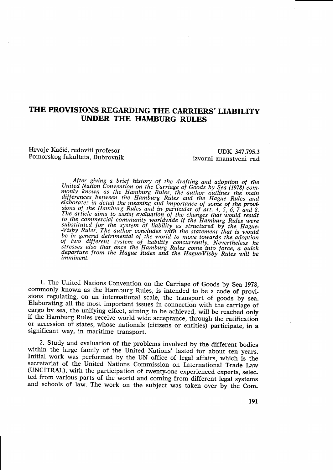## THE PROVISIONS REGARDING THE CARRIERS' LIABILITY **UNDER THE HAMBURG RULES**

Hrvoie Kačić, redoviti profesor Pomorskog fakulteta, Dubrovnik

UDK 347.795.3 izvorni znanstveni rad

After giving a brief history of the drafting and adoption of the United Nation Convention on the Carriage of Goods by Sea (1978) com-<br>monly known as the Hamburg Rules, the author outlines the main<br>differences between the Hamburg Rules and the Hague Rules and<br>elaborates in detail the mea United Nation Convention on the Carriage of Goods by Sea (1978) com-

1. The United Nations Convention on the Carriage of Goods by Sea 1978, commonly known as the Hamburg Rules, is intended to be a code of provisions regulating, on an international scale, the transport of goods by sea. Elaborating all the most important issues in connection with the carriage of cargo by sea, the unifying effect, aiming to be achieved, will be reached only if the Hamburg Rules receive world wide acceptance, through the ratification or accession of states, whose nationals (citizens or entities) participate, in a significant way, in maritime transport.

2. Study and evaluation of the problems involved by the different bodies within the large family of the United Nations' lasted for about ten years. Initial work was performed by the UN office of legal affairs, which is the secretariat of the United Nations Commission on International Trade Law (UNCITRAL), with the participation of twenty-one experienced experts, selected from various parts of the world and coming from different legal systems and schools of law. The work on the subject was taken over by the Com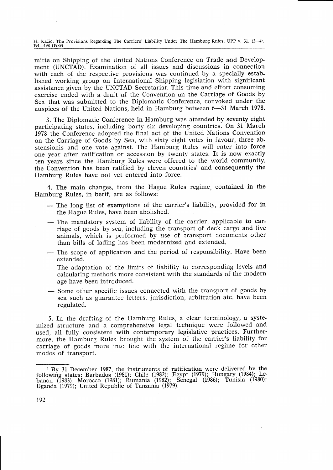H. Kačić: The Provisions Regarding The Carriers' Liability Under The Hamburg Rules, UPP v. 31, (2-4), 191-198 (1989)

mitte on Shipping of the United Nalioris Conference on Trade and Development (UNCTAD). Examination of all issues and discussions in connection with each of the respective provisions was continued by a specially established working group on International Shipping legislation with significant assistance given by the UNCTAD Secretariat. This time and effort consuming exercise ended with a draft of the Convention on the Carriage of Goods by Sea that was submitted to the Diplomatic Conference, convoked under the auspices of the United Nations, held in Hamburg between 6-31 March 1978.

3. The Diplomatic Conference in Hamburg was attended by seventy eight participating states, including borty six developing countries. On 31 March 1978 the Conference adopted the final act of the United Nations Convention on the Carriage of Goods by Sea, with sixty eight votes in favour, three abstensionis and one vote against. The Hamburg Rules will enter into force one year after ratification or accession by twenty states. It is now exactly ten years since the Hamburg Rules were offered to the world community, the Convention has been ratified by eleven countries' and consequently the Hamburg Rules have not yet entered into force.

4. The main changes, from the Hague Rules regime, contained in the Hamburg Rules, in berif, are as follows:

- The long list of exemptions of the carrier's liability, provided for in the Hague Rules, have been abolished. the Hague Rules, have been abolished.
- The mandatory system of liability of the carrier, applicable to car-<br>riage of goods by sea including the transport of deck cargo and live riage of goods by sea, including the transport of deck cargo and live animals, which is performed by use of transport documents other than bills of lading has been modernized and extended.
- The scope of application and the period of responsibility. Have been extended. extended.

The adaptation of the limits of liability to corresponding levels and calculating methods more consistent with the standards of the modern age have been introduced.

- Some other specific issues connected with the transport of goods by sea such as guarantee letters, jurisdiction, arbitration atc, have been sea such as guarantee letters, jurisdiction, arbitration atc. have been regulated.

5. In the drafting of the Hamburg Rules, a clear terminology, a systemized structure and a comprehensive legal technique were followed and used, all fully consistent with contemporary legislative practices. Furthermore, the Hamburg Rules brought the system of the carrier's liability for carriage of goods more into line with the international regime for other modes of transport.

<sup>&</sup>lt;sup>1</sup> By 31 December 1987, the instruments of ratification were delivered by the following states: Barbados (1981); Chile (1982); Egypt (1979); Hungary (1984); Le banon (1983); Morocco (1981); Rumania (1982); Egypt (1979); Hungary (1984); Le-<br>Senegal (1986); Tunisia (1980); tion were delivered by the<br>(1979); Hungary (1984); Lebanon (1983); Morocco (1981); Rumania (1982); S Uganda (1979); United Republic of Tanzania (1979).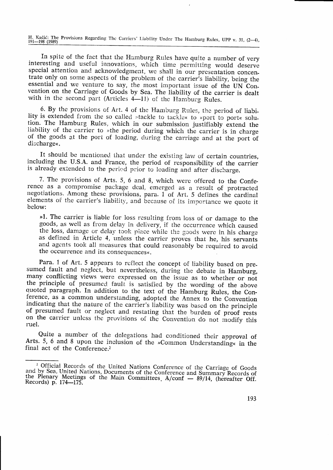H. Kačić: The Provisions Regarding The Carriers' Liability Under The Hamburg Rules, UPP v. 31, (2-4),  $191 - 198$  (1989)

In spite of the fact that the Hamburg Rules have quite a number of very interesting and useful innovations, which time permitting would deserve special attention and acknowledgment, we shall in our presentation concentrate only on some aspects of the problem of the carrier's liability, being the essential and we venture to say, the most important issue of the UN Convention on the Carriage of Goods by Sea. The liability of the carrier is dealt with in the second part (Articles 4-11) of the Hamburg Rules.

6. By the provisions of Art. 4 of the Hamburg Rules, the period of liability is extended from the so called »tackle to tackle« to »port to port« solution. The Hamburg Rules, which in our submission justifiably extend the liability of the carrier to »the period during which the carrier is in charge of the goods at the port of loading, during the carriage and at the port of discharge«.

It should be mentioned that under the existing law of certain countries, including the U.S.A. and France, the period of responsibility of the carrier is already extended to the period prior to loading and after discharge.

7. The provisions of Arts. 5, 6 and 8, which were offered to the Conference as a compromise package deal, emerged as a result of protracted negotiations. Among these provisions, para. 1 of Art. 5 defines the cardinal elements of the carrier's liability, and because of its importance we quote it below:

»1. The carrier is liable for loss resulting from loss of or damage to the goods, as well as from delay in delivery, if the occurrence which caused the loss, damage or delay took place while the goods were in his charge as defined in Article 4, unless the carrier proves that he, his servants and agents took all measures that could reasonably be required to avoid the occurrence and its consequences«.

Para. 1 of Art. 5 appears to reflect the concept of liability based on presumed fault and neglect, but nevertheless, during the debate in Hamburg, many conflicting views were expressed on the issue as to whether or not the principle of presumed fault is satisfied by the wording of the above quoted paragraph. In addition to the text of the Hamburg Rules, the Conference, as a common understanding, adopted the Annex to the Convention indicating that the nature of the carrier's liability was based on the principle of presumed fault or neglect and restating that the burden of proof rests on the carrier unless the provisions of the Convention do not modify this ruel.

Quite a number of the delegations had conditioned their approval of Arts. 5, 6 and 8 upon the inclusion of the »Common Understanding« in the final act of the Conference.<sup>2</sup>

<sup>&</sup>lt;sup>2</sup> Official Records of the United Nations Conference of the Carriage of Goods and by Sea, United Nations, Documents of the Conference and Summary Records of the Plenary Meetings of the Main Committees  $A/conf$  - 89/14, (hereafter Off. Records) p. 174-175.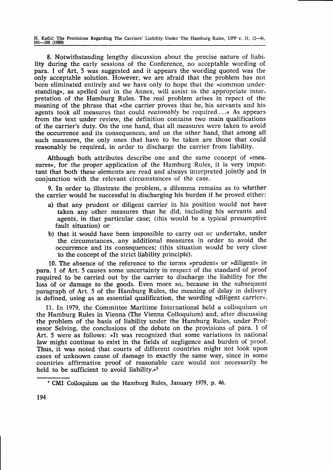H. Kačić: The Provisions Regarding The Carriers' Liability Under The Hamburg Rules, UPP v. 31,  $(2-4)$ , 191-198 (1989)

8. Notwithstanding lengthy disoussion about the precise nature of liability during the early sessions of the Conference, no acceptable wording of para. I of Art. 5 was suggested and it appears the wording quoted was the only acceptable solution. However, we are afraid that the problem has not been eliminated entirely and we have only to hope that the »common understanding«, as spelled out in the Annex, will assist in the appropriate interpretation of the Hamburg Rules. The real problem arises in repect of the meaning of the phrase that »the carrier proves that he, his servants and his agents took all measures that could reasonably be required....« As appears from the text under review, the definition contains two main qualifications of the carrier's duty. On the one hand, that all measures were taken to avoid the occurrence and its consequences, and on the other hand, that among all such measures, the only ones that have to be taken are those that could reasonably be required, in order to discharge the carrier from liability.

Although both attributes describe one and the same concept of »measures«, for the proper application of the Hamburg Rules, it is very important that both these elements are read and always interpreted jointly and in conjunction with the relevant circumstances of the case.

9. In order to illustrate the problem, a dilemma remains as to whether the carrier would be successful in discharging his burden if he proved either:

- a) that any prudent or diligent carrier in his position would not have taken any other measures than he did, including his servants and agents, in that particular case; (this would be a typical presumptive fault situation) or
- b) that it would have been impossible to carry out or undertake, under the circumstances, any additional measures in order to avoid the occurrence and its consequences; (this situation would be very close to the concept of the strict liability principle).

10. The absence of the reference to the terms >prudent< or "diligent< in para. I of Art. 5 causes some uncertainty in respect of the standard of proof required to be oarried out by the carrier to discharge the liability for the loss of or damage to the goods. Even more so, because in the subsequent paragraph of Art. 5 of the Hamburg Rules, the meaning of delay in delivery is defined, using as an essential qualification, the wording »diligent carrier«.

11. In 1979, the Committee Maritime International held a colloquium on the Hamburg Rules in Vienna (The Vienna Colloquium) and, after discussing the problem of the basis of liability under the Hamburg Rules, under Professor Selving, the conclusions of the debate on the provisions of para. 1 of Art. 5 were as follows: >It was recognized that some variations in national law might continue to exist in the fields of negligence and burden of proof. Thus, it was noted that courts of different countries might not look upon cases of unknown cause of damage in exactly the same way, since in some countries affirmative proof of reasonable care would not necessarily be held to be sufficient to avoid liability. $\alpha^3$ 

<sup>&#</sup>x27; CMI Colloquium on the Hamburg Rules, January 1979, p.46.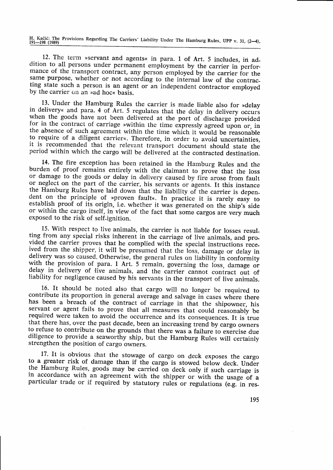H. Kačić: The Provisions Regarding The Carriers' Liability Under The Hamburg Rules, UPP v. 31, (2–4), 191–198 (1989)

12. The term »servant and agents« in para. 1 of Art. 5 includes, in addition to all persons under permanent employment by the carrier in performance of the transport contract, any person employed by the carrier for the same purpose, whether or not according to the internal law of the contracting state such a person is an agent or an independent contractor employed by the carrier on an »ad hoc« basis.

13. Under the Hamburg Rules the carrier is made liable also for »delay<br>in delivery« and para. 4 of Art. 5 regulates that the delay in delivery occurs<br>when the goods have not been delivered at the port of discharge provided

14. The fire exception has been retained in the Hamburg Rules and the burden of proof remains entirely with the claimant to prove that the loss or damage to the goods or delay in delivery caused by fire arose from fault or neglect on the part of the carrier, his servants or agents. It this instance<br>the Hamburg Rules have laid down that the liability of the carrier is depen-<br>dent on the principle of »proven fault«. In practice it is rarely or within the cargo itself, in view of the fact that some cargos are very much exposed to the risk of self-ignition.

15. With respect to live animals, the carrier is not liable for losses resulting from any special risks inherent in the carriage of live animals, and provided the carrier proves that he complied with the special instructio delay in delivery of live animals, and the carrier cannot contract out of liability for negligence caused by his servants in the transport of live animals.

16. It should be noted also that cargo will no longer be required to contribute its proportion in general average and salvage in cases where there has been a breach of the contract of carriage in that the shipowner, his se

17. It is obvious that the stowage of cargo on deck exposes the cargo<br>to a greater risk of damage than if the cargo is stowed below deck. Under<br>the Hamburg Rules, goods may be carried on deck only if such carriage is<br>in ac particular trade or if required by statutory rules or regulations (e.g. in res-

195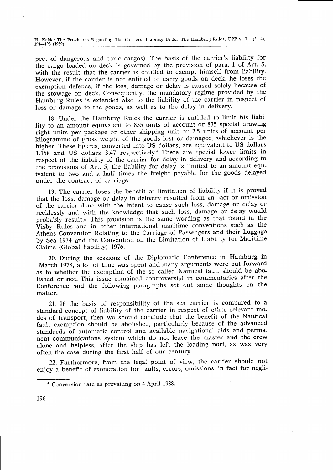H. Kačić: The Provisions Regarding The Carriers' Liability Under The Hamburg Rules, UPP v. 31, (2-4), 191-198 (1989)

pect of dangerous and toxic cargos). The basis of the carrier's liability for the cargo loaded on deck is governed by the provision of para. 1 of Art. 5, with the result that the carrier is entitled to exempt himself from liability. However, if the carrier is not entitled to carry goods on deck, he loses the exemption defence, if the loss, damage or delay is caused solely because of the stowage on deck. Consequently, the mandatory regime provided by the Hamburg Rules is extended also to the liability of the carrier in respect of loss or damage to the goods, as well as to the delay in delivery.

18. Under the Harnburg Rules the carrier is entitled to limit his liability to an amount equivalent to 835 units of account or 835 special drawing right units per package or other shipping unit or 2.5 units of account per kilogramme of gross weight of the goods lost or damaged, whichever is the higher. These figures, converted into US dollars, are equivalent to US dollars  $1.158$  and US dollars 3.47 respectively.<sup>4</sup> There are special lower limits in respect of the liability of the carrier for delay in delivery and according to the provisions of Art. 5, the liability for delay is limited to an amount equivalent to two and a half times the freight payable for the goods delayed under the contract of carriage.

19. The carrier loses the benefit of limitation of liability if it is proved that the loss, damage or delay in delivery resulted from an >act or omission of the carrier done with the intent to cause such loss, damage or delay or recklessly and with the knowledge that such loss, damage or delay would probably result.« This provision is the same wording as that found in the Visby Rules and in other international maritime conventions such as the Athens Convention Relating to thc Carriage of Passengers and their Luggage by Sea 1974 and the Convention on the Limitation of Liability for Maritime Claims (Global liability) 1976.

20. During the sessions of the Diplomatic Conference in Hamburg in March 1978, a lot of time was spent and many arguments were put forward as to whether the exemption of the so called Nautical fault should be abolished or not. This issue remained controversial in commentaries after the Conference and the following paragraphs set out some thoughts on the matter.

21. If the basis of responsibility of the sea carrier is compared to a standard concept of liability of thc carrier in respect of other relevant modes of transport, then we should conclude that the benefit of the Nautical fault exemption should be abolished, particularly because of the advanced standards of automatic control and available navigational aids and permanent communications system which do not leave the master and the crew alone and helpless, after the ship has left the loading port, as was very often the case during the first half of our century.

22. Furthermore, from the legal point of view, the carrier should not enjoy a benefit of exoneration for faults, errors, omissions, in fact for negli-

<sup>&</sup>lt;sup>4</sup> Conversion rate as prevailing on 4 April 1988.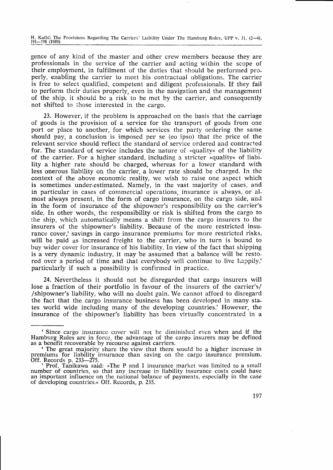H. Kačić: The Provisions Regarding The Carriers' Liability Under The Hamburg Rules, UPP v. 31, (2-4), 191-198 (1989)

gence of any kind of the master and other crew members because they are professionals in the service of the carrier and acting \^/ithin the scope of their employment, in fulfilment of the duties that should be performed properly, enabling the carrier to meet his contractual obligations. The carrier is free to select qualified, competent and diligent professionals. If they fail to perform thcir duties properly, even in the navigation and the management of the ship, it shouid be a risk to be met by the carrier, and consequently not shifted to those interested in the cargo.

23. However, if the problem is approached on the basis that the carriage of goods is the provision of a service for the transport of goods from one port or place to another, for which services the party ordering the same should pay, a conclusion is imposed per se (eo ipso) that the price of the relevant service should reflect the standard of service ordered and contracted for. The standard of service includes the nature of »quality« of the liability of the carrier. For a higher standard, including a stricter »quality« of liability a higher rate should be charged, whereas for a lower standard with less onerous liability on the carrier, a lower rate should be charged. In the context of the above economic reality, we wish to raise one aspect which is sometimes under-estimated. Namely, in the vast majority of cases, and in particular in cases of commercial operations, insurance is always, or almost always present, in the form of cargo insurance, on the cargo side, and in the form of insurance of the shipowner's responsibility on the carrier's side. In other words, the responsibility or risk is shifted from the cargo to the ship, which automatically means a shift from the cargo insurers to the insurers of the shipowner's liability. Because of the more restricted insurance cover,<sup>5</sup> savings in cargo insurance premiums for more restricted risks, will be paid as increased freight to the carrier, who in turn is bound to buy wider cover for insurance of his liability. In view of the fact that shipping is a very dynamic industry, it may be assumed that a balance will be restored over a period of time and that everybody will continue to live happily, $\phi$ particularly if such a possibility is confirmed in practice.

24. Nevertheless it should not be disregarded that cargo insurers will lose a fraction of their portfolio in favour of the insurers of the carrier's/ /shipowner's liability, who will no doubt gain. We cannot afford to disregard the fact that the cargo insurance business has been developed in rnany states world wide including many of the developing countries.' However, the insurance of the shipowner's liability has been virtually concentrated in <sup>a</sup>

<sup>&</sup>lt;sup>5</sup> Since cargo insurance cover will not be diminished even when and if the Hamburg Rules are in force, the advantage of the cargo insurers may be defined as a benefit recoverable by recourse against carriers.

<sup>&</sup>lt;sup>6</sup> The great majority share the view that there would be a higher increase in premiums for liability insurance than saving on the cargo insurance premium. Off. Records p. 233--275.

Prof. Tanikawa said: »The P and I insurance market was limited to a small number of countries, so that any increase in liability insurance costs could have an important influence on the national balance of payments, especially in the case of developing countries.< Off. Records, p. 235.